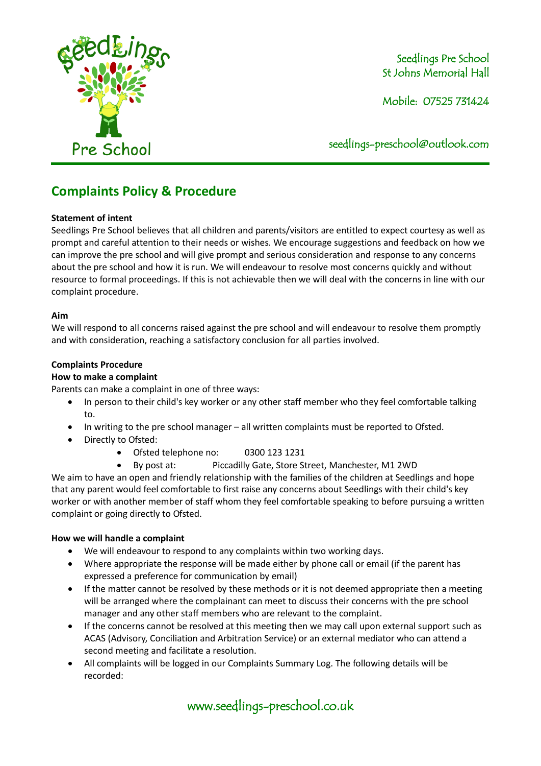

### Seedlings Pre School St Johns Memorial Hall

Mobile: 07525 731424

seedlings[-preschool@outlook.com](mailto:preschool@outlook.com)

# **Complaints Policy & Procedure**

#### **Statement of intent**

Seedlings Pre School believes that all children and parents/visitors are entitled to expect courtesy as well as prompt and careful attention to their needs or wishes. We encourage suggestions and feedback on how we can improve the pre school and will give prompt and serious consideration and response to any concerns about the pre school and how it is run. We will endeavour to resolve most concerns quickly and without resource to formal proceedings. If this is not achievable then we will deal with the concerns in line with our complaint procedure.

#### **Aim**

We will respond to all concerns raised against the pre school and will endeavour to resolve them promptly and with consideration, reaching a satisfactory conclusion for all parties involved.

#### **Complaints Procedure**

#### **How to make a complaint**

Parents can make a complaint in one of three ways:

- In person to their child's key worker or any other staff member who they feel comfortable talking to.
- In writing to the pre school manager all written complaints must be reported to Ofsted.
- Directly to Ofsted:
	- Ofsted telephone no: 0300 123 1231
	- By post at: Piccadilly Gate, Store Street, Manchester, M1 2WD

We aim to have an open and friendly relationship with the families of the children at Seedlings and hope that any parent would feel comfortable to first raise any concerns about Seedlings with their child's key worker or with another member of staff whom they feel comfortable speaking to before pursuing a written complaint or going directly to Ofsted.

#### **How we will handle a complaint**

- We will endeavour to respond to any complaints within two working days.
- Where appropriate the response will be made either by phone call or email (if the parent has expressed a preference for communication by email)
- If the matter cannot be resolved by these methods or it is not deemed appropriate then a meeting will be arranged where the complainant can meet to discuss their concerns with the pre school manager and any other staff members who are relevant to the complaint.
- If the concerns cannot be resolved at this meeting then we may call upon external support such as ACAS (Advisory, Conciliation and Arbitration Service) or an external mediator who can attend a second meeting and facilitate a resolution.
- All complaints will be logged in our Complaints Summary Log. The following details will be recorded:

# www.seedlings-preschool.co.uk